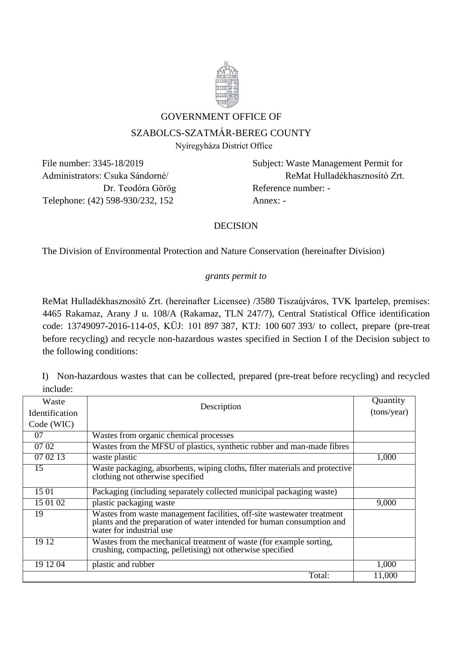

#### GOVERNMENT OFFICE OF

# SZABOLCS-SZATMÁR-BEREG COUNTY

Nyíregyháza District Office

Telephone: (42) 598-930/232, 152 Annex: -

File number: 3345-18/2019 Subject: Waste Management Permit for Administrators: Csuka Sándorné/ ReMat Hulladékhasznosító Zrt. Dr. Teodóra Görög Reference number: -

# DECISION

The Division of Environmental Protection and Nature Conservation (hereinafter Division)

#### *grants permit to*

ReMat Hulladékhasznosító Zrt. (hereinafter Licensee) /3580 Tiszaújváros, TVK Ipartelep, premises: 4465 Rakamaz, Arany J u. 108/A (Rakamaz, TLN 247/7), Central Statistical Office identification code: 13749097-2016-114-05, KÜJ: 101 897 387, KTJ: 100 607 393/ to collect, prepare (pre-treat before recycling) and recycle non-hazardous wastes specified in Section I of the Decision subject to the following conditions:

I) Non-hazardous wastes that can be collected, prepared (pre-treat before recycling) and recycled include:

| Waste                 | Description                                                                                                                                                                  | Quantity    |
|-----------------------|------------------------------------------------------------------------------------------------------------------------------------------------------------------------------|-------------|
| <b>Identification</b> |                                                                                                                                                                              | (tons/year) |
| Code (WIC)            |                                                                                                                                                                              |             |
| 07                    | Wastes from organic chemical processes                                                                                                                                       |             |
| 07 02                 | Wastes from the MFSU of plastics, synthetic rubber and man-made fibres                                                                                                       |             |
| 07 02 13              | waste plastic                                                                                                                                                                | 1,000       |
| 15                    | Waste packaging, absorbents, wiping cloths, filter materials and protective<br>clothing not otherwise specified                                                              |             |
| 15 01                 | Packaging (including separately collected municipal packaging waste)                                                                                                         |             |
| 15 01 02              | plastic packaging waste                                                                                                                                                      | 9,000       |
| 19                    | Wastes from waste management facilities, off-site wastewater treatment<br>plants and the preparation of water intended for human consumption and<br>water for industrial use |             |
| 19 12                 | Wastes from the mechanical treatment of waste (for example sorting,<br>crushing, compacting, pelletising) not otherwise specified                                            |             |
| 19 12 04              | plastic and rubber                                                                                                                                                           | 1,000       |
|                       | Total:                                                                                                                                                                       | 11,000      |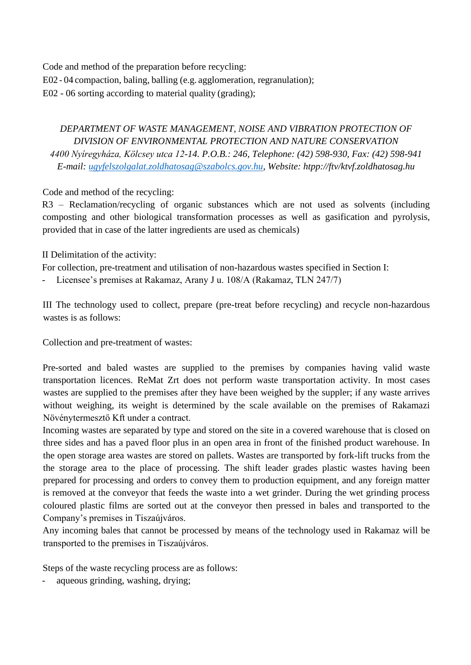Code and method of the preparation before recycling: E02 - 04 compaction, baling, balling (e.g. agglomeration, regranulation); E02 - 06 sorting according to material quality (grading);

# *DEPARTMENT OF WASTE MANAGEMENT, NOISE AND VIBRATION PROTECTION OF DIVISION OF ENVIRONMENTAL PROTECTION AND NATURE CONSERVATION 4400 Nyíregyháza, Kölcsey utca 12-14. P.O.B.: 246, Telephone: (42) 598-930, Fax: (42) 598-941 E-mail: [ugyfelszolgalat.zoldhatosag@szabolcs.gov.hu,](mailto:ugyfelszolgalat.zoldhatosag@szabolcs.gov.hu) Website: htpp://ftv/ktvf.zoldhatosag.hu*

Code and method of the recycling:

R3 – Reclamation/recycling of organic substances which are not used as solvents (including composting and other biological transformation processes as well as gasification and pyrolysis, provided that in case of the latter ingredients are used as chemicals)

# II Delimitation of the activity:

For collection, pre-treatment and utilisation of non-hazardous wastes specified in Section I:

Licensee's premises at Rakamaz, Arany J u. 108/A (Rakamaz, TLN 247/7)

III The technology used to collect, prepare (pre-treat before recycling) and recycle non-hazardous wastes is as follows:

Collection and pre-treatment of wastes:

Pre-sorted and baled wastes are supplied to the premises by companies having valid waste transportation licences. ReMat Zrt does not perform waste transportation activity. In most cases wastes are supplied to the premises after they have been weighed by the suppler; if any waste arrives without weighing, its weight is determined by the scale available on the premises of Rakamazi Növénytermesztő Kft under a contract.

Incoming wastes are separated by type and stored on the site in a covered warehouse that is closed on three sides and has a paved floor plus in an open area in front of the finished product warehouse. In the open storage area wastes are stored on pallets. Wastes are transported by fork-lift trucks from the the storage area to the place of processing. The shift leader grades plastic wastes having been prepared for processing and orders to convey them to production equipment, and any foreign matter is removed at the conveyor that feeds the waste into a wet grinder. During the wet grinding process coloured plastic films are sorted out at the conveyor then pressed in bales and transported to the Company's premises in Tiszaújváros.

Any incoming bales that cannot be processed by means of the technology used in Rakamaz will be transported to the premises in Tiszaújváros.

Steps of the waste recycling process are as follows:

aqueous grinding, washing, drying;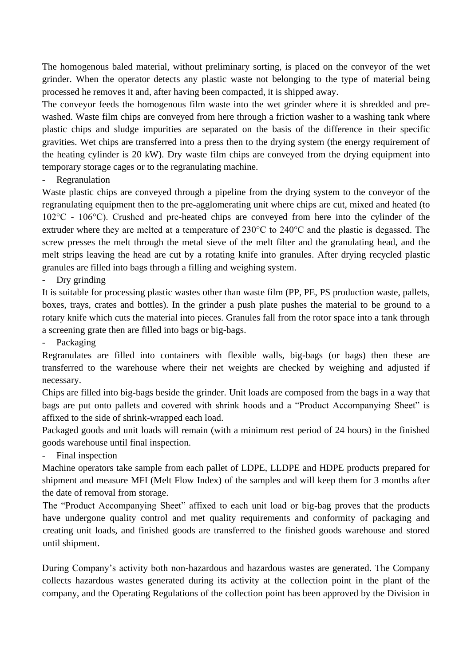The homogenous baled material, without preliminary sorting, is placed on the conveyor of the wet grinder. When the operator detects any plastic waste not belonging to the type of material being processed he removes it and, after having been compacted, it is shipped away.

The conveyor feeds the homogenous film waste into the wet grinder where it is shredded and prewashed. Waste film chips are conveyed from here through a friction washer to a washing tank where plastic chips and sludge impurities are separated on the basis of the difference in their specific gravities. Wet chips are transferred into a press then to the drying system (the energy requirement of the heating cylinder is 20 kW). Dry waste film chips are conveyed from the drying equipment into temporary storage cages or to the regranulating machine.

- Regranulation

Waste plastic chips are conveyed through a pipeline from the drying system to the conveyor of the regranulating equipment then to the pre-agglomerating unit where chips are cut, mixed and heated (to 102°C - 106°C). Crushed and pre-heated chips are conveyed from here into the cylinder of the extruder where they are melted at a temperature of 230°C to 240°C and the plastic is degassed. The screw presses the melt through the metal sieve of the melt filter and the granulating head, and the melt strips leaving the head are cut by a rotating knife into granules. After drying recycled plastic granules are filled into bags through a filling and weighing system.

Dry grinding

It is suitable for processing plastic wastes other than waste film (PP, PE, PS production waste, pallets, boxes, trays, crates and bottles). In the grinder a push plate pushes the material to be ground to a rotary knife which cuts the material into pieces. Granules fall from the rotor space into a tank through a screening grate then are filled into bags or big-bags.

- Packaging

Regranulates are filled into containers with flexible walls, big-bags (or bags) then these are transferred to the warehouse where their net weights are checked by weighing and adjusted if necessary.

Chips are filled into big-bags beside the grinder. Unit loads are composed from the bags in a way that bags are put onto pallets and covered with shrink hoods and a "Product Accompanying Sheet" is affixed to the side of shrink-wrapped each load.

Packaged goods and unit loads will remain (with a minimum rest period of 24 hours) in the finished goods warehouse until final inspection.

Final inspection

Machine operators take sample from each pallet of LDPE, LLDPE and HDPE products prepared for shipment and measure MFI (Melt Flow Index) of the samples and will keep them for 3 months after the date of removal from storage.

The "Product Accompanying Sheet" affixed to each unit load or big-bag proves that the products have undergone quality control and met quality requirements and conformity of packaging and creating unit loads, and finished goods are transferred to the finished goods warehouse and stored until shipment.

During Company's activity both non-hazardous and hazardous wastes are generated. The Company collects hazardous wastes generated during its activity at the collection point in the plant of the company, and the Operating Regulations of the collection point has been approved by the Division in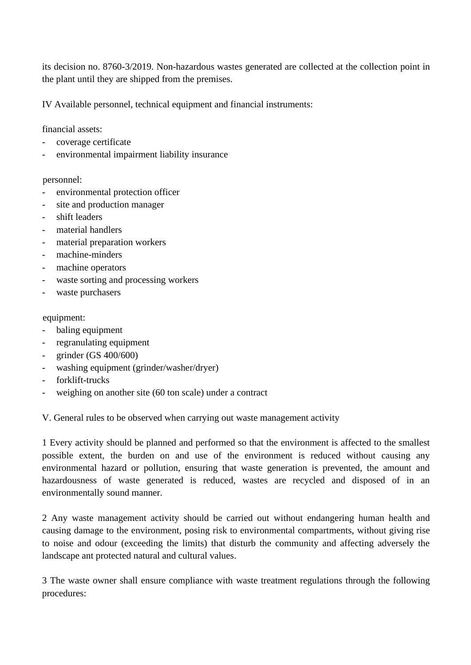its decision no. 8760-3/2019. Non-hazardous wastes generated are collected at the collection point in the plant until they are shipped from the premises.

IV Available personnel, technical equipment and financial instruments:

financial assets:

- coverage certificate
- environmental impairment liability insurance

#### personnel:

- environmental protection officer
- site and production manager
- shift leaders
- material handlers
- material preparation workers
- machine-minders
- machine operators
- waste sorting and processing workers
- waste purchasers

#### equipment:

- baling equipment
- regranulating equipment
- grinder (GS 400/600)
- washing equipment (grinder/washer/dryer)
- forklift-trucks
- weighing on another site (60 ton scale) under a contract

V. General rules to be observed when carrying out waste management activity

1 Every activity should be planned and performed so that the environment is affected to the smallest possible extent, the burden on and use of the environment is reduced without causing any environmental hazard or pollution, ensuring that waste generation is prevented, the amount and hazardousness of waste generated is reduced, wastes are recycled and disposed of in an environmentally sound manner.

2 Any waste management activity should be carried out without endangering human health and causing damage to the environment, posing risk to environmental compartments, without giving rise to noise and odour (exceeding the limits) that disturb the community and affecting adversely the landscape ant protected natural and cultural values.

3 The waste owner shall ensure compliance with waste treatment regulations through the following procedures: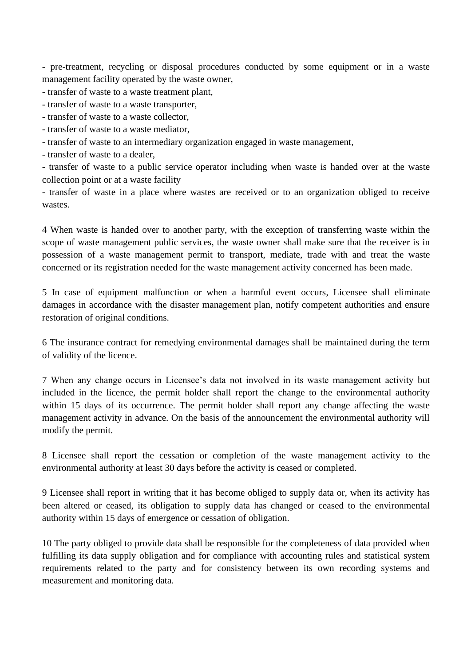- pre-treatment, recycling or disposal procedures conducted by some equipment or in a waste management facility operated by the waste owner,

- transfer of waste to a waste treatment plant,

- transfer of waste to a waste transporter,
- transfer of waste to a waste collector,
- transfer of waste to a waste mediator,
- transfer of waste to an intermediary organization engaged in waste management,
- transfer of waste to a dealer,

- transfer of waste to a public service operator including when waste is handed over at the waste collection point or at a waste facility

- transfer of waste in a place where wastes are received or to an organization obliged to receive wastes.

4 When waste is handed over to another party, with the exception of transferring waste within the scope of waste management public services, the waste owner shall make sure that the receiver is in possession of a waste management permit to transport, mediate, trade with and treat the waste concerned or its registration needed for the waste management activity concerned has been made.

5 In case of equipment malfunction or when a harmful event occurs, Licensee shall eliminate damages in accordance with the disaster management plan, notify competent authorities and ensure restoration of original conditions.

6 The insurance contract for remedying environmental damages shall be maintained during the term of validity of the licence.

7 When any change occurs in Licensee's data not involved in its waste management activity but included in the licence, the permit holder shall report the change to the environmental authority within 15 days of its occurrence. The permit holder shall report any change affecting the waste management activity in advance. On the basis of the announcement the environmental authority will modify the permit.

8 Licensee shall report the cessation or completion of the waste management activity to the environmental authority at least 30 days before the activity is ceased or completed.

9 Licensee shall report in writing that it has become obliged to supply data or, when its activity has been altered or ceased, its obligation to supply data has changed or ceased to the environmental authority within 15 days of emergence or cessation of obligation.

10 The party obliged to provide data shall be responsible for the completeness of data provided when fulfilling its data supply obligation and for compliance with accounting rules and statistical system requirements related to the party and for consistency between its own recording systems and measurement and monitoring data.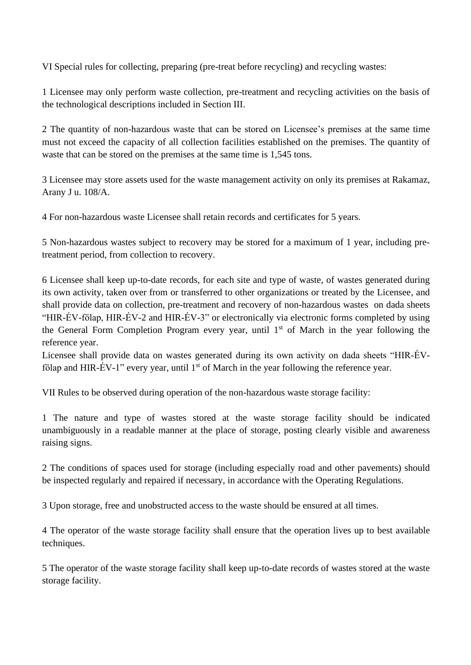VI Special rules for collecting, preparing (pre-treat before recycling) and recycling wastes:

1 Licensee may only perform waste collection, pre-treatment and recycling activities on the basis of the technological descriptions included in Section III.

2 The quantity of non-hazardous waste that can be stored on Licensee's premises at the same time must not exceed the capacity of all collection facilities established on the premises. The quantity of waste that can be stored on the premises at the same time is 1,545 tons.

3 Licensee may store assets used for the waste management activity on only its premises at Rakamaz, Arany J u. 108/A.

4 For non-hazardous waste Licensee shall retain records and certificates for 5 years.

5 Non-hazardous wastes subject to recovery may be stored for a maximum of 1 year, including pretreatment period, from collection to recovery.

6 Licensee shall keep up-to-date records, for each site and type of waste, of wastes generated during its own activity, taken over from or transferred to other organizations or treated by the Licensee, and shall provide data on collection, pre-treatment and recovery of non-hazardous wastes on dada sheets "HIR-ÉV-főlap, HIR-ÉV-2 and HIR-ÉV-3" or electronically via electronic forms completed by using the General Form Completion Program every year, until  $1<sup>st</sup>$  of March in the year following the reference year.

Licensee shall provide data on wastes generated during its own activity on dada sheets "HIR-ÉVfőlap and HIR-ÉV-1" every year, until 1<sup>st</sup> of March in the year following the reference year.

VII Rules to be observed during operation of the non-hazardous waste storage facility:

1 The nature and type of wastes stored at the waste storage facility should be indicated unambiguously in a readable manner at the place of storage, posting clearly visible and awareness raising signs.

2 The conditions of spaces used for storage (including especially road and other pavements) should be inspected regularly and repaired if necessary, in accordance with the Operating Regulations.

3 Upon storage, free and unobstructed access to the waste should be ensured at all times.

4 The operator of the waste storage facility shall ensure that the operation lives up to best available techniques.

5 The operator of the waste storage facility shall keep up-to-date records of wastes stored at the waste storage facility.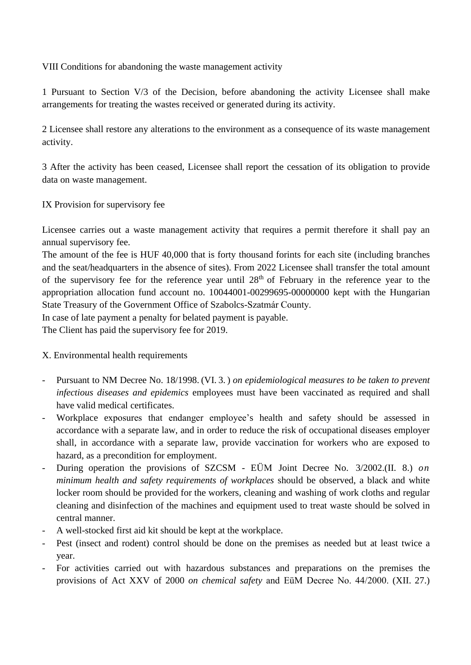VIII Conditions for abandoning the waste management activity

1 Pursuant to Section V/3 of the Decision, before abandoning the activity Licensee shall make arrangements for treating the wastes received or generated during its activity.

2 Licensee shall restore any alterations to the environment as a consequence of its waste management activity.

3 After the activity has been ceased, Licensee shall report the cessation of its obligation to provide data on waste management.

IX Provision for supervisory fee

Licensee carries out a waste management activity that requires a permit therefore it shall pay an annual supervisory fee.

The amount of the fee is HUF 40,000 that is forty thousand forints for each site (including branches and the seat/headquarters in the absence of sites). From 2022 Licensee shall transfer the total amount of the supervisory fee for the reference year until  $28<sup>th</sup>$  of February in the reference year to the appropriation allocation fund account no. 10044001-00299695-00000000 kept with the Hungarian State Treasury of the Government Office of Szabolcs-Szatmár County.

In case of late payment a penalty for belated payment is payable.

The Client has paid the supervisory fee for 2019.

# X. Environmental health requirements

- Pursuant to NM Decree No. 18/1998. (VI. 3. ) *on epidemiological measures to be taken to prevent infectious diseases and epidemics* employees must have been vaccinated as required and shall have valid medical certificates.
- Workplace exposures that endanger employee's health and safety should be assessed in accordance with a separate law, and in order to reduce the risk of occupational diseases employer shall, in accordance with a separate law, provide vaccination for workers who are exposed to hazard, as a precondition for employment.
- During operation the provisions of SZCSM EÜM Joint Decree No. 3/2002.(II. 8.) *on minimum health and safety requirements of workplaces* should be observed, a black and white locker room should be provided for the workers, cleaning and washing of work cloths and regular cleaning and disinfection of the machines and equipment used to treat waste should be solved in central manner.
- A well-stocked first aid kit should be kept at the workplace.
- Pest (insect and rodent) control should be done on the premises as needed but at least twice a year.
- For activities carried out with hazardous substances and preparations on the premises the provisions of Act XXV of 2000 *on chemical safety* and EüM Decree No. 44/2000. (XII. 27.)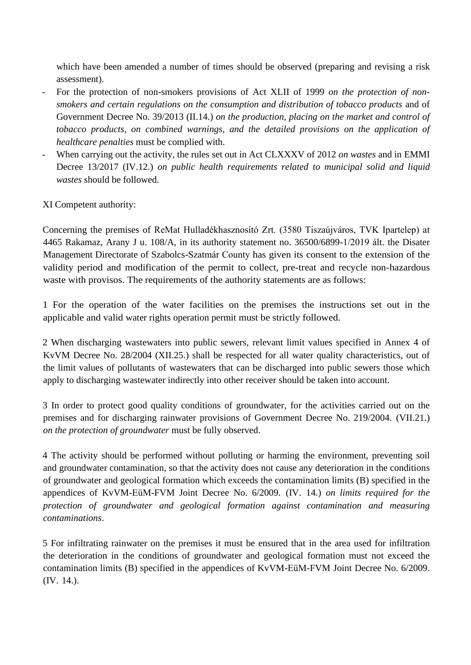which have been amended a number of times should be observed (preparing and revising a risk assessment).

- For the protection of non-smokers provisions of Act XLII of 1999 *on the protection of nonsmokers and certain regulations on the consumption and distribution of tobacco products* and of Government Decree No. 39/2013 (II.14.) *on the production, placing on the market and control of tobacco products, on combined warnings, and the detailed provisions on the application of healthcare penalties* must be complied with.
- When carrying out the activity, the rules set out in Act CLXXXV of 2012 *on wastes* and in EMMI Decree 13/2017 (IV.12.) *on public health requirements related to municipal solid and liquid wastes* should be followed.

XI Competent authority:

Concerning the premises of ReMat Hulladékhasznosító Zrt. (3580 Tiszaújváros, TVK Ipartelep) at 4465 Rakamaz, Arany J u. 108/A, in its authority statement no. 36500/6899-1/2019 ált. the Disater Management Directorate of Szabolcs-Szatmár County has given its consent to the extension of the validity period and modification of the permit to collect, pre-treat and recycle non-hazardous waste with provisos. The requirements of the authority statements are as follows:

1 For the operation of the water facilities on the premises the instructions set out in the applicable and valid water rights operation permit must be strictly followed.

2 When discharging wastewaters into public sewers, relevant limit values specified in Annex 4 of KvVM Decree No. 28/2004 (XII.25.) shall be respected for all water quality characteristics, out of the limit values of pollutants of wastewaters that can be discharged into public sewers those which apply to discharging wastewater indirectly into other receiver should be taken into account.

3 In order to protect good quality conditions of groundwater, for the activities carried out on the premises and for discharging rainwater provisions of Government Decree No. 219/2004. (VII.21.) *on the protection of groundwater* must be fully observed.

4 The activity should be performed without polluting or harming the environment, preventing soil and groundwater contamination, so that the activity does not cause any deterioration in the conditions of groundwater and geological formation which exceeds the contamination limits (B) specified in the appendices of KvVM-EüM-FVM Joint Decree No. 6/2009. (IV. 14.) *on limits required for the protection of groundwater and geological formation against contamination and measuring contaminations*.

5 For infiltrating rainwater on the premises it must be ensured that in the area used for infiltration the deterioration in the conditions of groundwater and geological formation must not exceed the contamination limits (B) specified in the appendices of KvVM-EüM-FVM Joint Decree No. 6/2009. (IV. 14.).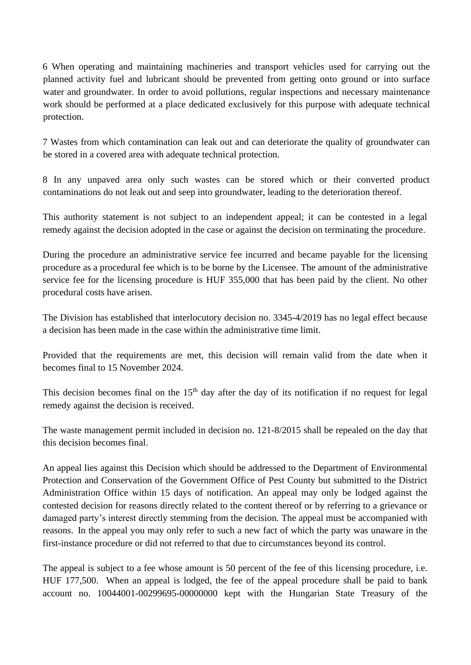6 When operating and maintaining machineries and transport vehicles used for carrying out the planned activity fuel and lubricant should be prevented from getting onto ground or into surface water and groundwater. In order to avoid pollutions, regular inspections and necessary maintenance work should be performed at a place dedicated exclusively for this purpose with adequate technical protection.

7 Wastes from which contamination can leak out and can deteriorate the quality of groundwater can be stored in a covered area with adequate technical protection.

8 In any unpaved area only such wastes can be stored which or their converted product contaminations do not leak out and seep into groundwater, leading to the deterioration thereof.

This authority statement is not subject to an independent appeal; it can be contested in a legal remedy against the decision adopted in the case or against the decision on terminating the procedure.

During the procedure an administrative service fee incurred and became payable for the licensing procedure as a procedural fee which is to be borne by the Licensee. The amount of the administrative service fee for the licensing procedure is HUF 355,000 that has been paid by the client. No other procedural costs have arisen.

The Division has established that interlocutory decision no. 3345-4/2019 has no legal effect because a decision has been made in the case within the administrative time limit.

Provided that the requirements are met, this decision will remain valid from the date when it becomes final to 15 November 2024.

This decision becomes final on the  $15<sup>th</sup>$  day after the day of its notification if no request for legal remedy against the decision is received.

The waste management permit included in decision no. 121-8/2015 shall be repealed on the day that this decision becomes final.

An appeal lies against this Decision which should be addressed to the Department of Environmental Protection and Conservation of the Government Office of Pest County but submitted to the District Administration Office within 15 days of notification. An appeal may only be lodged against the contested decision for reasons directly related to the content thereof or by referring to a grievance or damaged party's interest directly stemming from the decision. The appeal must be accompanied with reasons. In the appeal you may only refer to such a new fact of which the party was unaware in the first-instance procedure or did not referred to that due to circumstances beyond its control.

The appeal is subject to a fee whose amount is 50 percent of the fee of this licensing procedure, i.e. HUF 177,500. When an appeal is lodged, the fee of the appeal procedure shall be paid to bank account no. 10044001-00299695-00000000 kept with the Hungarian State Treasury of the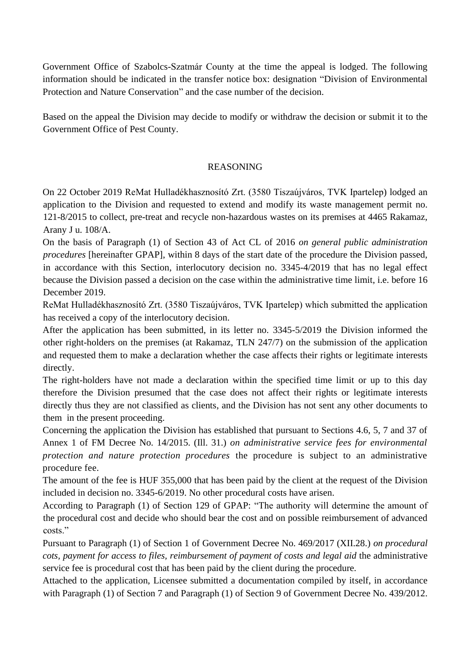Government Office of Szabolcs-Szatmár County at the time the appeal is lodged. The following information should be indicated in the transfer notice box: designation "Division of Environmental Protection and Nature Conservation" and the case number of the decision.

Based on the appeal the Division may decide to modify or withdraw the decision or submit it to the Government Office of Pest County.

# REASONING

On 22 October 2019 ReMat Hulladékhasznosító Zrt. (3580 Tiszaújváros, TVK Ipartelep) lodged an application to the Division and requested to extend and modify its waste management permit no. 121-8/2015 to collect, pre-treat and recycle non-hazardous wastes on its premises at 4465 Rakamaz, Arany J u. 108/A.

On the basis of Paragraph (1) of Section 43 of Act CL of 2016 *on general public administration procedures* [hereinafter GPAP], within 8 days of the start date of the procedure the Division passed, in accordance with this Section, interlocutory decision no. 3345-4/2019 that has no legal effect because the Division passed a decision on the case within the administrative time limit, i.e. before 16 December 2019.

ReMat Hulladékhasznosító Zrt. (3580 Tiszaújváros, TVK Ipartelep) which submitted the application has received a copy of the interlocutory decision.

After the application has been submitted, in its letter no. 3345-5/2019 the Division informed the other right-holders on the premises (at Rakamaz, TLN 247/7) on the submission of the application and requested them to make a declaration whether the case affects their rights or legitimate interests directly.

The right-holders have not made a declaration within the specified time limit or up to this day therefore the Division presumed that the case does not affect their rights or legitimate interests directly thus they are not classified as clients, and the Division has not sent any other documents to them in the present proceeding.

Concerning the application the Division has established that pursuant to Sections 4.6, 5, 7 and 37 of Annex 1 of FM Decree No. 14/2015. (Ill. 31.) *on administrative service fees for environmental protection and nature protection procedures* the procedure is subject to an administrative procedure fee.

The amount of the fee is HUF 355,000 that has been paid by the client at the request of the Division included in decision no. 3345-6/2019. No other procedural costs have arisen.

According to Paragraph (1) of Section 129 of GPAP: "The authority will determine the amount of the procedural cost and decide who should bear the cost and on possible reimbursement of advanced costs<sup>"</sup>

Pursuant to Paragraph (1) of Section 1 of Government Decree No. 469/2017 (XII.28.) *on procedural cots, payment for access to files, reimbursement of payment of costs and legal aid* the administrative service fee is procedural cost that has been paid by the client during the procedure.

Attached to the application, Licensee submitted a documentation compiled by itself, in accordance with Paragraph (1) of Section 7 and Paragraph (1) of Section 9 of Government Decree No. 439/2012.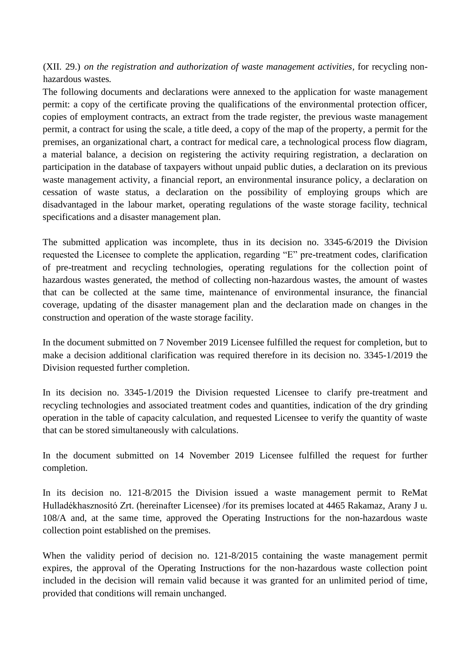(XII. 29.) *on the registration and authorization of waste management activities,* for recycling nonhazardous wastes*.* 

The following documents and declarations were annexed to the application for waste management permit: a copy of the certificate proving the qualifications of the environmental protection officer, copies of employment contracts, an extract from the trade register, the previous waste management permit, a contract for using the scale, a title deed, a copy of the map of the property, a permit for the premises, an organizational chart, a contract for medical care, a technological process flow diagram, a material balance, a decision on registering the activity requiring registration, a declaration on participation in the database of taxpayers without unpaid public duties, a declaration on its previous waste management activity, a financial report, an environmental insurance policy, a declaration on cessation of waste status, a declaration on the possibility of employing groups which are disadvantaged in the labour market, operating regulations of the waste storage facility, technical specifications and a disaster management plan.

The submitted application was incomplete, thus in its decision no. 3345-6/2019 the Division requested the Licensee to complete the application, regarding "E" pre-treatment codes, clarification of pre-treatment and recycling technologies, operating regulations for the collection point of hazardous wastes generated, the method of collecting non-hazardous wastes, the amount of wastes that can be collected at the same time, maintenance of environmental insurance, the financial coverage, updating of the disaster management plan and the declaration made on changes in the construction and operation of the waste storage facility.

In the document submitted on 7 November 2019 Licensee fulfilled the request for completion, but to make a decision additional clarification was required therefore in its decision no. 3345-1/2019 the Division requested further completion.

In its decision no. 3345-1/2019 the Division requested Licensee to clarify pre-treatment and recycling technologies and associated treatment codes and quantities, indication of the dry grinding operation in the table of capacity calculation, and requested Licensee to verify the quantity of waste that can be stored simultaneously with calculations.

In the document submitted on 14 November 2019 Licensee fulfilled the request for further completion.

In its decision no. 121-8/2015 the Division issued a waste management permit to ReMat Hulladékhasznosító Zrt. (hereinafter Licensee) /for its premises located at 4465 Rakamaz, Arany J u. 108/A and, at the same time, approved the Operating Instructions for the non-hazardous waste collection point established on the premises.

When the validity period of decision no. 121-8/2015 containing the waste management permit expires, the approval of the Operating Instructions for the non-hazardous waste collection point included in the decision will remain valid because it was granted for an unlimited period of time, provided that conditions will remain unchanged.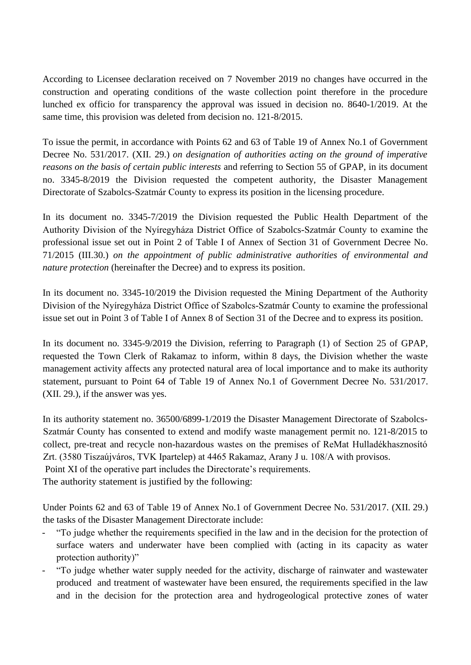According to Licensee declaration received on 7 November 2019 no changes have occurred in the construction and operating conditions of the waste collection point therefore in the procedure lunched ex officio for transparency the approval was issued in decision no. 8640-1/2019. At the same time, this provision was deleted from decision no. 121-8/2015.

To issue the permit, in accordance with Points 62 and 63 of Table 19 of Annex No.1 of Government Decree No. 531/2017. (XII. 29.) *on designation of authorities acting on the ground of imperative reasons on the basis of certain public interests* and referring to Section 55 of GPAP, in its document no. 3345-8/2019 the Division requested the competent authority, the Disaster Management Directorate of Szabolcs-Szatmár County to express its position in the licensing procedure.

In its document no. 3345-7/2019 the Division requested the Public Health Department of the Authority Division of the Nyíregyháza District Office of Szabolcs-Szatmár County to examine the professional issue set out in Point 2 of Table I of Annex of Section 31 of Government Decree No. 71/2015 (III.30.) *on the appointment of public administrative authorities of environmental and nature protection* (hereinafter the Decree) and to express its position.

In its document no. 3345-10/2019 the Division requested the Mining Department of the Authority Division of the Nyíregyháza District Office of Szabolcs-Szatmár County to examine the professional issue set out in Point 3 of Table I of Annex 8 of Section 31 of the Decree and to express its position.

In its document no. 3345-9/2019 the Division, referring to Paragraph (1) of Section 25 of GPAP, requested the Town Clerk of Rakamaz to inform, within 8 days, the Division whether the waste management activity affects any protected natural area of local importance and to make its authority statement, pursuant to Point 64 of Table 19 of Annex No.1 of Government Decree No. 531/2017. (XII. 29.), if the answer was yes.

In its authority statement no. 36500/6899-1/2019 the Disaster Management Directorate of Szabolcs-Szatmár County has consented to extend and modify waste management permit no. 121-8/2015 to collect, pre-treat and recycle non-hazardous wastes on the premises of ReMat Hulladékhasznosító Zrt. (3580 Tiszaújváros, TVK Ipartelep) at 4465 Rakamaz, Arany J u. 108/A with provisos. Point XI of the operative part includes the Directorate's requirements. The authority statement is justified by the following:

Under Points 62 and 63 of Table 19 of Annex No.1 of Government Decree No. 531/2017. (XII. 29.) the tasks of the Disaster Management Directorate include:

- "To judge whether the requirements specified in the law and in the decision for the protection of surface waters and underwater have been complied with (acting in its capacity as water protection authority)"
- "To judge whether water supply needed for the activity, discharge of rainwater and wastewater produced and treatment of wastewater have been ensured, the requirements specified in the law and in the decision for the protection area and hydrogeological protective zones of water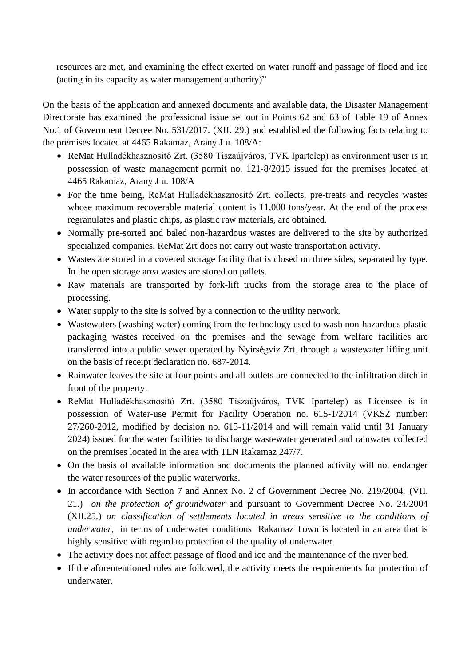resources are met, and examining the effect exerted on water runoff and passage of flood and ice (acting in its capacity as water management authority)"

On the basis of the application and annexed documents and available data, the Disaster Management Directorate has examined the professional issue set out in Points 62 and 63 of Table 19 of Annex No.1 of Government Decree No. 531/2017. (XII. 29.) and established the following facts relating to the premises located at 4465 Rakamaz, Arany J u. 108/A:

- ReMat Hulladékhasznosító Zrt. (3580 Tiszaújváros, TVK Ipartelep) as environment user is in possession of waste management permit no. 121-8/2015 issued for the premises located at 4465 Rakamaz, Arany J u. 108/A
- For the time being, ReMat Hulladékhasznosító Zrt. collects, pre-treats and recycles wastes whose maximum recoverable material content is 11,000 tons/year. At the end of the process regranulates and plastic chips, as plastic raw materials, are obtained.
- Normally pre-sorted and baled non-hazardous wastes are delivered to the site by authorized specialized companies. ReMat Zrt does not carry out waste transportation activity.
- Wastes are stored in a covered storage facility that is closed on three sides, separated by type. In the open storage area wastes are stored on pallets.
- Raw materials are transported by fork-lift trucks from the storage area to the place of processing.
- Water supply to the site is solved by a connection to the utility network.
- Wastewaters (washing water) coming from the technology used to wash non-hazardous plastic packaging wastes received on the premises and the sewage from welfare facilities are transferred into a public sewer operated by Nyírségvíz Zrt. through a wastewater lifting unit on the basis of receipt declaration no. 687-2014.
- Rainwater leaves the site at four points and all outlets are connected to the infiltration ditch in front of the property.
- ReMat Hulladékhasznosító Zrt. (3580 Tiszaújváros, TVK Ipartelep) as Licensee is in possession of Water-use Permit for Facility Operation no. 615-1/2014 (VKSZ number: 27/260-2012, modified by decision no. 615-11/2014 and will remain valid until 31 January 2024) issued for the water facilities to discharge wastewater generated and rainwater collected on the premises located in the area with TLN Rakamaz 247/7.
- On the basis of available information and documents the planned activity will not endanger the water resources of the public waterworks.
- In accordance with Section 7 and Annex No. 2 of Government Decree No. 219/2004. (VII. 21.) *on the protection of groundwater* and pursuant to Government Decree No. 24/2004 (XII.25.) *on classification of settlements located in areas sensitive to the conditions of underwater,* in terms of underwater conditions Rakamaz Town is located in an area that is highly sensitive with regard to protection of the quality of underwater.
- The activity does not affect passage of flood and ice and the maintenance of the river bed.
- If the aforementioned rules are followed, the activity meets the requirements for protection of underwater.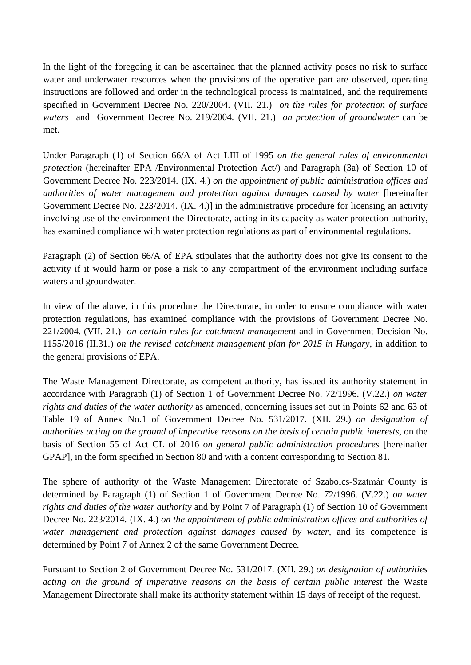In the light of the foregoing it can be ascertained that the planned activity poses no risk to surface water and underwater resources when the provisions of the operative part are observed, operating instructions are followed and order in the technological process is maintained, and the requirements specified in Government Decree No. 220/2004. (VII. 21.) *on the rules for protection of surface waters* and Government Decree No. 219/2004. (VII. 21.) *on protection of groundwater* can be met.

Under Paragraph (1) of Section 66/A of Act LIII of 1995 *on the general rules of environmental protection* (hereinafter EPA /Environmental Protection Act/) and Paragraph (3a) of Section 10 of Government Decree No. 223/2014. (IX. 4.) *on the appointment of public administration offices and authorities of water management and protection against damages caused by water* [hereinafter Government Decree No. 223/2014. (IX. 4.)] in the administrative procedure for licensing an activity involving use of the environment the Directorate, acting in its capacity as water protection authority, has examined compliance with water protection regulations as part of environmental regulations.

Paragraph (2) of Section 66/A of EPA stipulates that the authority does not give its consent to the activity if it would harm or pose a risk to any compartment of the environment including surface waters and groundwater.

In view of the above, in this procedure the Directorate, in order to ensure compliance with water protection regulations, has examined compliance with the provisions of Government Decree No. 221/2004. (VII. 21.) *on certain rules for catchment management* and in Government Decision No. 1155/2016 (II.31.) *on the revised catchment management plan for 2015 in Hungary,* in addition to the general provisions of EPA.

The Waste Management Directorate, as competent authority, has issued its authority statement in accordance with Paragraph (1) of Section 1 of Government Decree No. 72/1996. (V.22.) *on water rights and duties of the water authority* as amended, concerning issues set out in Points 62 and 63 of Table 19 of Annex No.1 of Government Decree No. 531/2017. (XII. 29.) *on designation of authorities acting on the ground of imperative reasons on the basis of certain public interests,* on the basis of Section 55 of Act CL of 2016 *on general public administration procedures* [hereinafter GPAP], in the form specified in Section 80 and with a content corresponding to Section 81.

The sphere of authority of the Waste Management Directorate of Szabolcs-Szatmár County is determined by Paragraph (1) of Section 1 of Government Decree No. 72/1996. (V.22.) *on water rights and duties of the water authority* and by Point 7 of Paragraph (1) of Section 10 of Government Decree No. 223/2014. (IX. 4.) *on the appointment of public administration offices and authorities of water management and protection against damages caused by water,* and its competence is determined by Point 7 of Annex 2 of the same Government Decree*.*

Pursuant to Section 2 of Government Decree No. 531/2017. (XII. 29.) *on designation of authorities acting on the ground of imperative reasons on the basis of certain public interest* the Waste Management Directorate shall make its authority statement within 15 days of receipt of the request.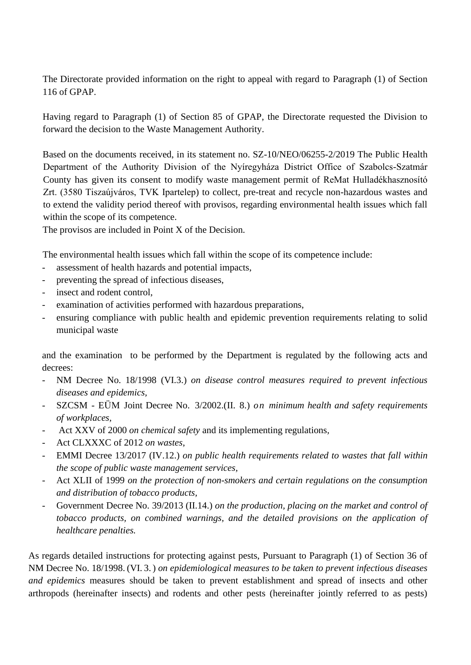The Directorate provided information on the right to appeal with regard to Paragraph (1) of Section 116 of GPAP.

Having regard to Paragraph (1) of Section 85 of GPAP, the Directorate requested the Division to forward the decision to the Waste Management Authority.

Based on the documents received, in its statement no. SZ-10/NEO/06255-2/2019 The Public Health Department of the Authority Division of the Nyíregyháza District Office of Szabolcs-Szatmár County has given its consent to modify waste management permit of ReMat Hulladékhasznosító Zrt. (3580 Tiszaújváros, TVK Ipartelep) to collect, pre-treat and recycle non-hazardous wastes and to extend the validity period thereof with provisos, regarding environmental health issues which fall within the scope of its competence.

The provisos are included in Point X of the Decision.

The environmental health issues which fall within the scope of its competence include:

- assessment of health hazards and potential impacts,
- preventing the spread of infectious diseases,
- insect and rodent control,
- examination of activities performed with hazardous preparations,
- ensuring compliance with public health and epidemic prevention requirements relating to solid municipal waste

and the examination to be performed by the Department is regulated by the following acts and decrees:

- NM Decree No. 18/1998 (VI.3.) *on disease control measures required to prevent infectious diseases and epidemics,*
- SZCSM EÜM Joint Decree No. 3/2002.(II. 8.) *on minimum health and safety requirements of workplaces,*
- Act XXV of 2000 *on chemical safety* and its implementing regulations*,*
- Act CLXXXC of 2012 *on wastes*,
- EMMI Decree 13/2017 (IV.12.) *on public health requirements related to wastes that fall within the scope of public waste management services,*
- Act XLII of 1999 *on the protection of non-smokers and certain regulations on the consumption and distribution of tobacco products,*
- Government Decree No. 39/2013 (II.14.) *on the production, placing on the market and control of tobacco products, on combined warnings, and the detailed provisions on the application of healthcare penalties.*

As regards detailed instructions for protecting against pests, Pursuant to Paragraph (1) of Section 36 of NM Decree No. 18/1998. (VI. 3.) *on epidemiological measures to be taken to prevent infectious diseases and epidemics* measures should be taken to prevent establishment and spread of insects and other arthropods (hereinafter insects) and rodents and other pests (hereinafter jointly referred to as pests)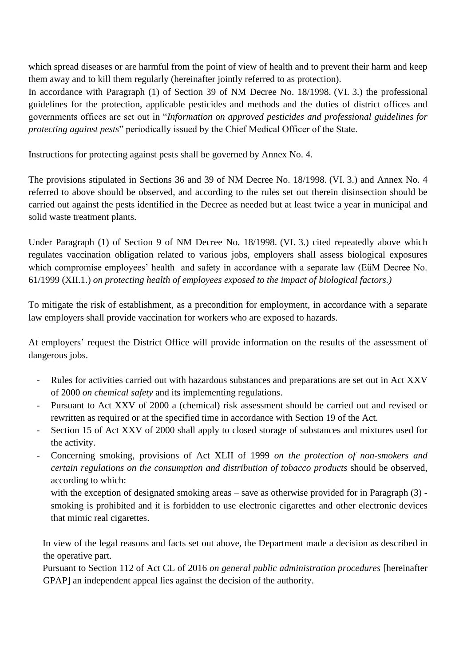which spread diseases or are harmful from the point of view of health and to prevent their harm and keep them away and to kill them regularly (hereinafter jointly referred to as protection).

In accordance with Paragraph (1) of Section 39 of NM Decree No. 18/1998. (VI. 3.) the professional guidelines for the protection, applicable pesticides and methods and the duties of district offices and governments offices are set out in "*Information on approved pesticides and professional guidelines for protecting against pests*" periodically issued by the Chief Medical Officer of the State.

Instructions for protecting against pests shall be governed by Annex No. 4.

The provisions stipulated in Sections 36 and 39 of NM Decree No. 18/1998. (VI. 3.) and Annex No. 4 referred to above should be observed, and according to the rules set out therein disinsection should be carried out against the pests identified in the Decree as needed but at least twice a year in municipal and solid waste treatment plants.

Under Paragraph (1) of Section 9 of NM Decree No. 18/1998. (VI. 3.) cited repeatedly above which regulates vaccination obligation related to various jobs, employers shall assess biological exposures which compromise employees' health and safety in accordance with a separate law (EüM Decree No. 61/1999 (XII.1.) *on protecting health of employees exposed to the impact of biological factors.)*

To mitigate the risk of establishment, as a precondition for employment, in accordance with a separate law employers shall provide vaccination for workers who are exposed to hazards.

At employers' request the District Office will provide information on the results of the assessment of dangerous jobs.

- Rules for activities carried out with hazardous substances and preparations are set out in Act XXV of 2000 *on chemical safety* and its implementing regulations.
- Pursuant to Act XXV of 2000 a (chemical) risk assessment should be carried out and revised or rewritten as required or at the specified time in accordance with Section 19 of the Act.
- Section 15 of Act XXV of 2000 shall apply to closed storage of substances and mixtures used for the activity.
- Concerning smoking, provisions of Act XLII of 1999 *on the protection of non-smokers and certain regulations on the consumption and distribution of tobacco products* should be observed, according to which:

with the exception of designated smoking areas – save as otherwise provided for in Paragraph (3) smoking is prohibited and it is forbidden to use electronic cigarettes and other electronic devices that mimic real cigarettes.

In view of the legal reasons and facts set out above, the Department made a decision as described in the operative part.

Pursuant to Section 112 of Act CL of 2016 *on general public administration procedures* [hereinafter GPAP] an independent appeal lies against the decision of the authority.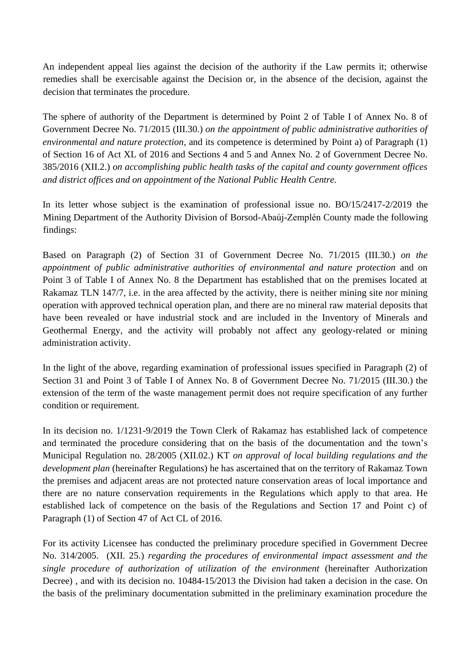An independent appeal lies against the decision of the authority if the Law permits it; otherwise remedies shall be exercisable against the Decision or, in the absence of the decision, against the decision that terminates the procedure.

The sphere of authority of the Department is determined by Point 2 of Table I of Annex No. 8 of Government Decree No. 71/2015 (III.30.) *on the appointment of public administrative authorities of environmental and nature protection,* and its competence is determined by Point a) of Paragraph (1) of Section 16 of Act XL of 2016 and Sections 4 and 5 and Annex No. 2 of Government Decree No. 385/2016 (XII.2.) *on accomplishing public health tasks of the capital and county government offices and district offices and on appointment of the National Public Health Centre.*

In its letter whose subject is the examination of professional issue no. BO/15/2417-2/2019 the Mining Department of the Authority Division of Borsod-Abaúj-Zemplén County made the following findings:

Based on Paragraph (2) of Section 31 of Government Decree No. 71/2015 (III.30.) *on the appointment of public administrative authorities of environmental and nature protection* and on Point 3 of Table I of Annex No. 8 the Department has established that on the premises located at Rakamaz TLN 147/7, i.e. in the area affected by the activity, there is neither mining site nor mining operation with approved technical operation plan, and there are no mineral raw material deposits that have been revealed or have industrial stock and are included in the Inventory of Minerals and Geothermal Energy, and the activity will probably not affect any geology-related or mining administration activity.

In the light of the above, regarding examination of professional issues specified in Paragraph (2) of Section 31 and Point 3 of Table I of Annex No. 8 of Government Decree No. 71/2015 (III.30.) the extension of the term of the waste management permit does not require specification of any further condition or requirement.

In its decision no. 1/1231-9/2019 the Town Clerk of Rakamaz has established lack of competence and terminated the procedure considering that on the basis of the documentation and the town's Municipal Regulation no. 28/2005 (XII.02.) KT *on approval of local building regulations and the development plan* (hereinafter Regulations) he has ascertained that on the territory of Rakamaz Town the premises and adjacent areas are not protected nature conservation areas of local importance and there are no nature conservation requirements in the Regulations which apply to that area. He established lack of competence on the basis of the Regulations and Section 17 and Point c) of Paragraph (1) of Section 47 of Act CL of 2016.

For its activity Licensee has conducted the preliminary procedure specified in Government Decree No. 314/2005. (XII. 25.) *regarding the procedures of environmental impact assessment and the single procedure of authorization of utilization of the environment* (hereinafter Authorization Decree) , and with its decision no. 10484-15/2013 the Division had taken a decision in the case. On the basis of the preliminary documentation submitted in the preliminary examination procedure the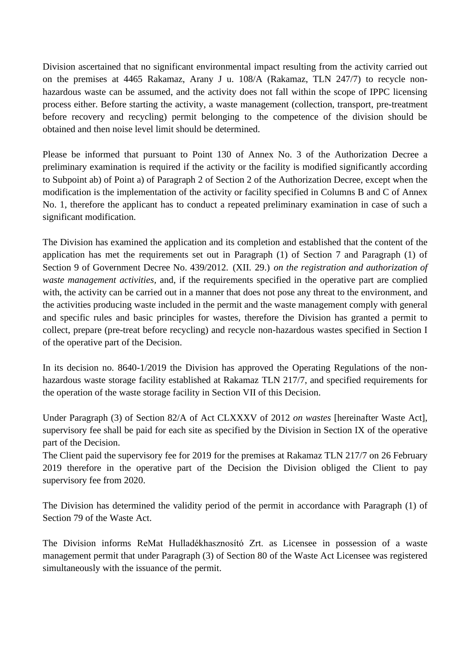Division ascertained that no significant environmental impact resulting from the activity carried out on the premises at 4465 Rakamaz, Arany J u. 108/A (Rakamaz, TLN 247/7) to recycle nonhazardous waste can be assumed, and the activity does not fall within the scope of IPPC licensing process either. Before starting the activity, a waste management (collection, transport, pre-treatment before recovery and recycling) permit belonging to the competence of the division should be obtained and then noise level limit should be determined.

Please be informed that pursuant to Point 130 of Annex No. 3 of the Authorization Decree a preliminary examination is required if the activity or the facility is modified significantly according to Subpoint ab) of Point a) of Paragraph 2 of Section 2 of the Authorization Decree, except when the modification is the implementation of the activity or facility specified in Columns B and C of Annex No. 1, therefore the applicant has to conduct a repeated preliminary examination in case of such a significant modification.

The Division has examined the application and its completion and established that the content of the application has met the requirements set out in Paragraph (1) of Section 7 and Paragraph (1) of Section 9 of Government Decree No. 439/2012. (XII. 29.) *on the registration and authorization of waste management activities,* and, if the requirements specified in the operative part are complied with, the activity can be carried out in a manner that does not pose any threat to the environment, and the activities producing waste included in the permit and the waste management comply with general and specific rules and basic principles for wastes, therefore the Division has granted a permit to collect, prepare (pre-treat before recycling) and recycle non-hazardous wastes specified in Section I of the operative part of the Decision.

In its decision no. 8640-1/2019 the Division has approved the Operating Regulations of the nonhazardous waste storage facility established at Rakamaz TLN 217/7, and specified requirements for the operation of the waste storage facility in Section VII of this Decision.

Under Paragraph (3) of Section 82/A of Act CLXXXV of 2012 *on wastes* [hereinafter Waste Act], supervisory fee shall be paid for each site as specified by the Division in Section IX of the operative part of the Decision.

The Client paid the supervisory fee for 2019 for the premises at Rakamaz TLN 217/7 on 26 February 2019 therefore in the operative part of the Decision the Division obliged the Client to pay supervisory fee from 2020.

The Division has determined the validity period of the permit in accordance with Paragraph (1) of Section 79 of the Waste Act.

The Division informs ReMat Hulladékhasznosító Zrt. as Licensee in possession of a waste management permit that under Paragraph (3) of Section 80 of the Waste Act Licensee was registered simultaneously with the issuance of the permit.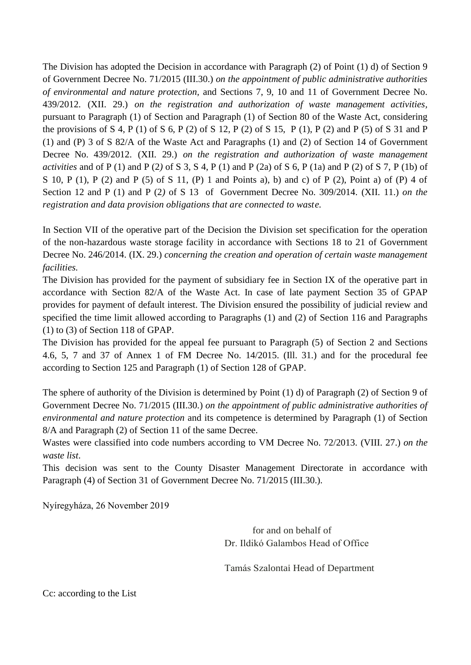The Division has adopted the Decision in accordance with Paragraph (2) of Point (1) d) of Section 9 of Government Decree No. 71/2015 (III.30.) *on the appointment of public administrative authorities of environmental and nature protection,* and Sections 7, 9, 10 and 11 of Government Decree No. 439/2012. (XII. 29.) *on the registration and authorization of waste management activities,*  pursuant to Paragraph (1) of Section and Paragraph (1) of Section 80 of the Waste Act, considering the provisions of S 4, P (1) of S 6, P (2) of S 12, P (2) of S 15, P (1), P (2) and P (5) of S 31 and P (1) and (P) 3 of S 82/A of the Waste Act and Paragraphs (1) and (2) of Section 14 of Government Decree No. 439/2012. (XII. 29.) *on the registration and authorization of waste management activities* and of P (1) and P (2) of S 3, S 4, P (1) and P (2a) of S 6, P (1a) and P (2) of S 7, P (1b) of S 10, P (1), P (2) and P (5) of S 11, (P) 1 and Points a), b) and c) of P (2), Point a) of (P) 4 of Section 12 and P (1) and P (2*)* of S 13 of Government Decree No. 309/2014. (XII. 11.) *on the registration and data provision obligations that are connected to waste.*

In Section VII of the operative part of the Decision the Division set specification for the operation of the non-hazardous waste storage facility in accordance with Sections 18 to 21 of Government Decree No. 246/2014. (IX. 29.) *concerning the creation and operation of certain waste management facilities.* 

The Division has provided for the payment of subsidiary fee in Section IX of the operative part in accordance with Section 82/A of the Waste Act. In case of late payment Section 35 of GPAP provides for payment of default interest. The Division ensured the possibility of judicial review and specified the time limit allowed according to Paragraphs (1) and (2) of Section 116 and Paragraphs (1) to (3) of Section 118 of GPAP.

The Division has provided for the appeal fee pursuant to Paragraph (5) of Section 2 and Sections 4.6, 5, 7 and 37 of Annex 1 of FM Decree No. 14/2015. (Ill. 31.) and for the procedural fee according to Section 125 and Paragraph (1) of Section 128 of GPAP.

The sphere of authority of the Division is determined by Point (1) d) of Paragraph (2) of Section 9 of Government Decree No. 71/2015 (III.30.) *on the appointment of public administrative authorities of environmental and nature protection* and its competence is determined by Paragraph (1) of Section 8/A and Paragraph (2) of Section 11 of the same Decree.

Wastes were classified into code numbers according to VM Decree No. 72/2013. (VIII. 27.) *on the waste list*.

This decision was sent to the County Disaster Management Directorate in accordance with Paragraph (4) of Section 31 of Government Decree No. 71/2015 (III.30.).

Nyíregyháza, 26 November 2019

for and on behalf of Dr. Ildikó Galambos Head of Office

Tamás Szalontai Head of Department

Cc: according to the List